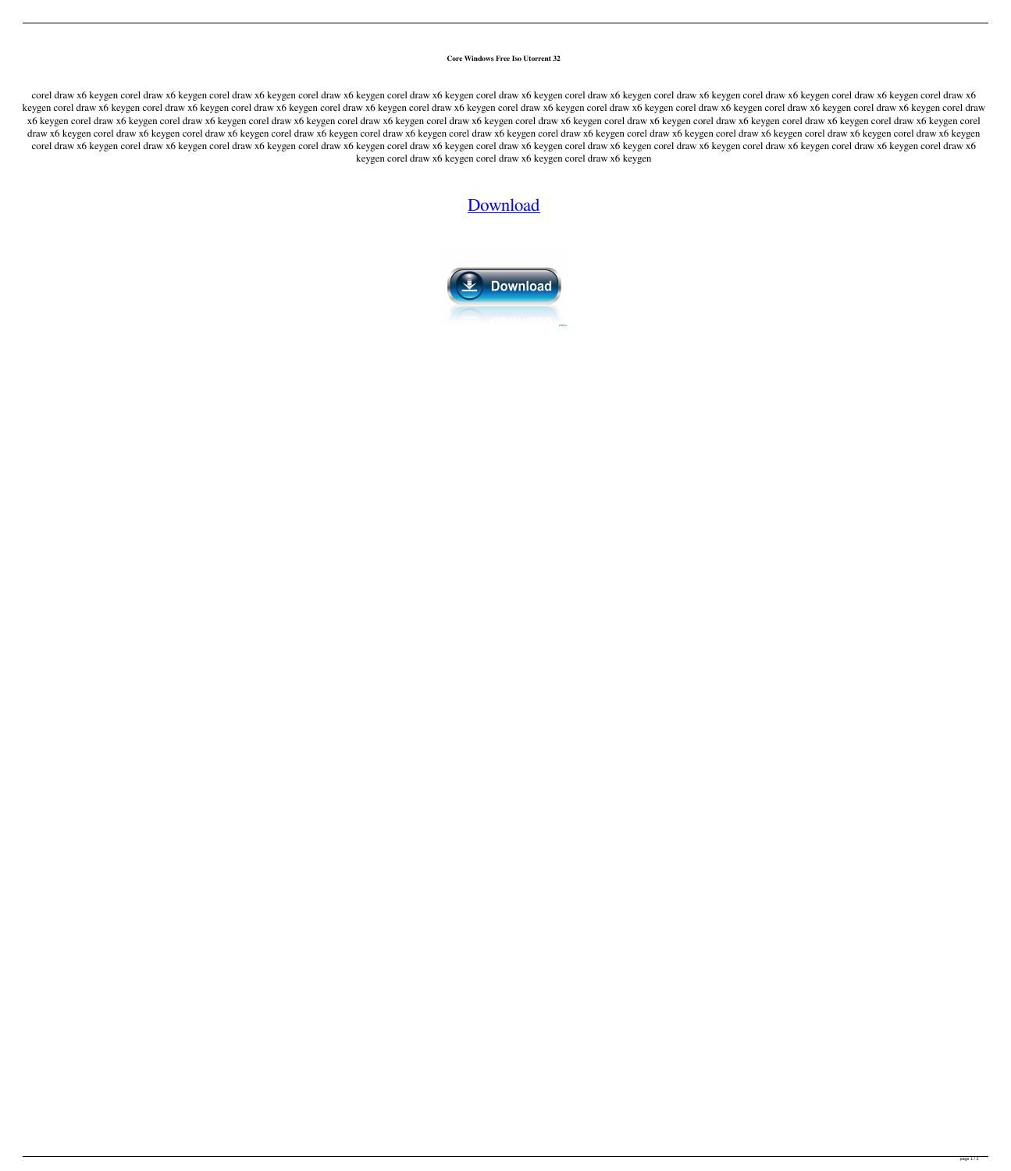## **Core Windows Free Iso Utorrent 32**

corel draw x6 keygen corel draw x6 keygen corel draw x6 keygen corel draw x6 keygen corel draw x6 keygen corel draw x6 keygen corel draw x6 keygen corel draw x6 keygen corel draw x6 keygen corel draw x6 keygen corel draw x keygen corel draw x6 keygen corel draw x6 keygen corel draw x6 keygen corel draw x6 keygen corel draw x6 keygen corel draw x6 keygen corel draw x6 keygen corel draw x6 keygen corel draw x6 keygen corel draw x6 keygen corel x6 keygen corel draw x6 keygen corel draw x6 keygen corel draw x6 keygen corel draw x6 keygen corel draw x6 keygen corel draw x6 keygen corel draw x6 keygen corel draw x6 keygen corel draw x6 keygen corel draw x6 keygen co draw x6 keygen corel draw x6 keygen corel draw x6 keygen corel draw x6 keygen corel draw x6 keygen corel draw x6 keygen corel draw x6 keygen corel draw x6 keygen corel draw x6 keygen corel draw x6 keygen corel draw x6 keyg corel draw x6 keygen corel draw x6 keygen corel draw x6 keygen corel draw x6 keygen corel draw x6 keygen corel draw x6 keygen corel draw x6 keygen corel draw x6 keygen corel draw x6 keygen corel draw x6 keygen corel draw x keygen corel draw x6 keygen corel draw x6 keygen corel draw x6 keygen

## [Download](http://evacdir.com/letheby/ZG93bmxvYWR8ZVM3TVRaMk9YeDhNVFkxTWpjME1EZzJObng4TWpVM05IeDhLRTBwSUhKbFlXUXRZbXh2WnlCYlJtRnpkQ0JIUlU1ZA/awoken/bandit.disloyal/manipulators.Y29yZSBrZXlnZW4gY29yZWwY29)